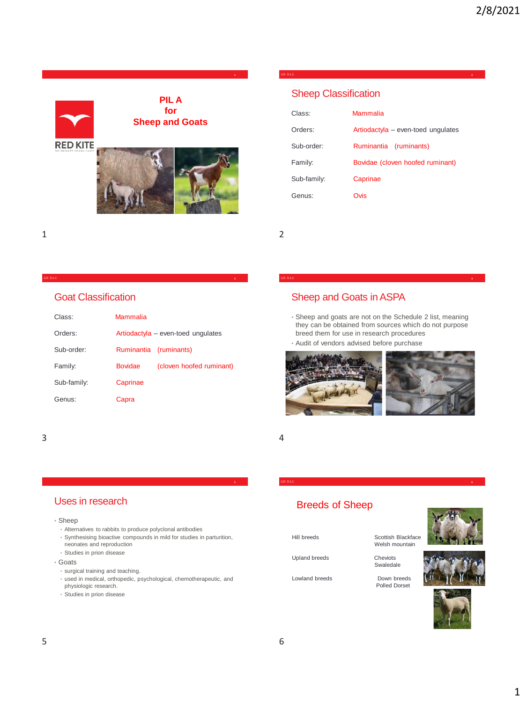

### Sheep Classification

| Class:      | Mammalia                           |
|-------------|------------------------------------|
| Orders:     | Artiodactyla - even-toed ungulates |
| Sub-order:  | (ruminants)<br>Ruminantia          |
| Family:     | Bovidae (cloven hoofed ruminant)   |
| Sub-family: | Caprinae                           |
| Genus:      | Ovis                               |

LO: 3.1.1 **2**

1 2

#### LO: 3.1.1 **3**

### Goat Classification

| Class:      | Mammalia                           |                          |  |
|-------------|------------------------------------|--------------------------|--|
| Orders:     | Artiodactyla - even-toed ungulates |                          |  |
| Sub-order:  | Ruminantia                         | (ruminants)              |  |
| Family:     | <b>Bovidae</b>                     | (cloven hoofed ruminant) |  |
| Sub-family: | Caprinae                           |                          |  |
| Genus:      | Capra                              |                          |  |

# Sheep and Goats in ASPA

• Sheep and goats are not on the Schedule 2 list, meaning they can be obtained from sources which do not purpose breed them for use in research procedures

LO: 3.1.1 **4**

• Audit of vendors advised before purchase



LO: 3.1.1 **6**

### $3 \overline{4}$

### Uses in research

### • Sheep

- Alternatives to rabbits to produce polyclonal antibodies
- Synthesising bioactive compounds in mild for studies in parturition, neonates and reproduction
- Studies in prion disease

#### • Goats

- surgical training and teaching.
- used in medical, orthopedic, psychological, chemotherapeutic, and
- physiologic research.
- Studies in prion disease

# Breeds of Sheep

Hill breeds Scottish Blackface

Welsh mountain

Upland breeds

Cheviots<br>Swaledale

Polled Dorset

Lowland breeds Down breeds

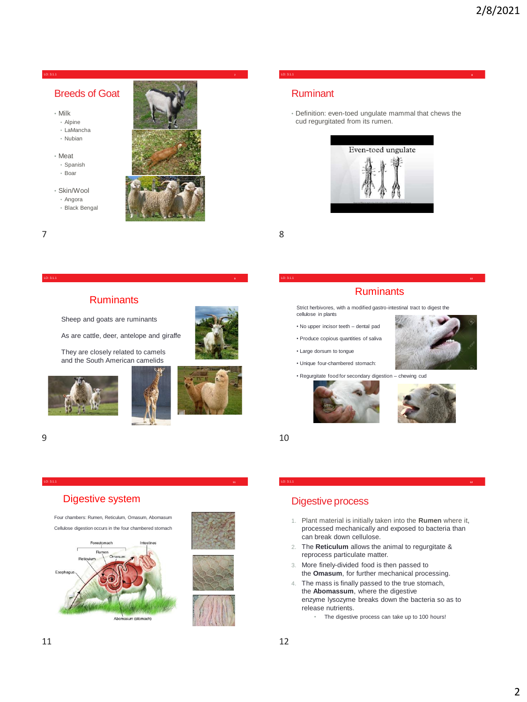### Breeds of Goat

- Milk
- Alpine
- LaMancha
- Nubian
- Meat
- Spanish
- Boar
- Skin/Wool
	- Angora • Black Bengal
	-



### Ruminant

• Definition: even-toed ungulate mammal that chews the cud regurgitated from its rumen.

LO: 3.1.1 **8**



7 8

#### LO: 3.1.1 **9**

### **Ruminants**

Sheep and goats are ruminants

As are cattle, deer, antelope and giraffe

They are closely related to camels and the South American camelids







#### LO: 3.1.1 **11**

### Digestive system







### **Ruminants** LO: 3.1.1 **10**

Strict herbivores, with a modified gastro-intestinal tract to digest the cellulose in plants

- No upper incisor teeth dental pad
- Produce copious quantities of saliva
- Large dorsum to tongue
- Unique four-chambered stomach:
- 





• Regurgitate food for secondary digestion – chewing cud



 $9 \hspace{2.5cm} 10$ 

### Digestive process

1. Plant material is initially taken into the **Rumen** where it, processed mechanically and exposed to bacteria than can break down cellulose.

LO: 3.1.1 **12**

- 2. The **Reticulum** allows the animal to regurgitate & reprocess particulate matter.
- 3. More finely-divided food is then passed to the **Omasum**, for further mechanical processing.
- 4. The mass is finally passed to the true stomach, the **Abomassum**, where the digestive enzyme lysozyme breaks down the bacteria so as to release nutrients.
	- The digestive process can take up to 100 hours!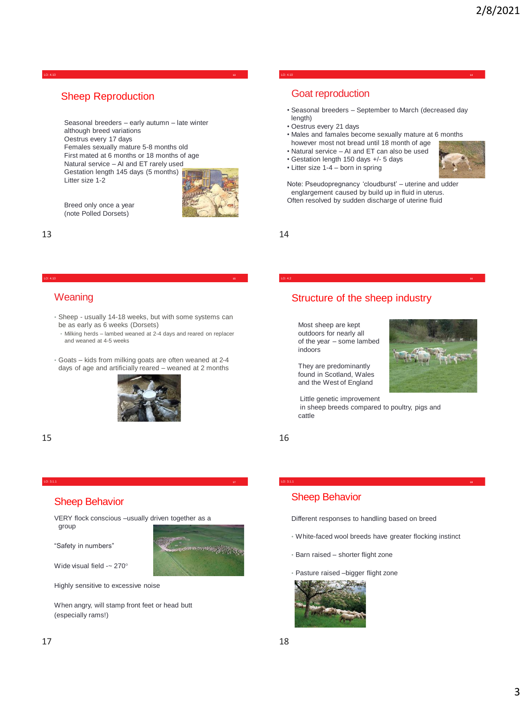#### LO: 4.10 **13**

### Sheep Reproduction

Seasonal breeders – early autumn – late winter although breed variations Oestrus every 17 days Females sexually mature 5-8 months old First mated at 6 months or 18 months of age Natural service – AI and ET rarely used Gestation length 145 days (5 months) Litter size 1-2



Breed only once a year (note Polled Dorsets)

#### LO: 4.10 **15**

### **Weaning**

- Sheep usually 14-18 weeks, but with some systems can be as early as 6 weeks (Dorsets)
- Milking herds lambed weaned at 2-4 days and reared on replacer and weaned at 4-5 weeks
- Goats kids from milking goats are often weaned at 2-4 days of age and artificially reared – weaned at 2 months





# Sheep Behavior

VERY flock conscious –usually driven together as a group

LO: 3.1.1 **17**

"Safety in numbers"



Wide visual field -~ 270°

Highly sensitive to excessive noise

When angry, will stamp front feet or head butt (especially rams!)

#### LO: 4.10 **14**

### Goat reproduction

- Seasonal breeders September to March (decreased day length)
- Oestrus every 21 days
- Males and famales become sexually mature at 6 months however most not bread until 18 month of age
- Natural service AI and ET can also be used
- Gestation length 150 days +/- 5 days
- Litter size 1-4 born in spring



Note: Pseudopregnancy 'cloudburst' – uterine and udder englargement caused by build up in fluid in uterus. Often resolved by sudden discharge of uterine fluid

 $13$  and  $14$ 

### Structure of the sheep industry

LO: 4.2 **16**

Most sheep are kept outdoors for nearly all of the year – some lambed indoors

They are predominantly found in Scotland, Wales and the West of England

Little genetic improvement in sheep breeds compared to poultry, pigs and cattle



Different responses to handling based on breed

• White-faced wool breeds have greater flocking instinct

LO: 3.1.1 **18**

- Barn raised shorter flight zone
- Pasture raised –bigger flight zone

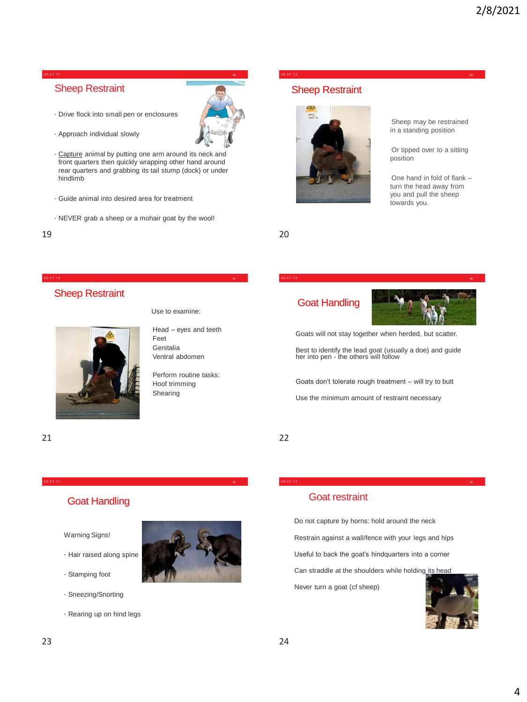#### LO: 4.7 7.1 **19**

## Sheep Restraint

• Drive flock into small pen or enclosures



- Capture animal by putting one arm around its neck and front quarters then quickly wrapping other hand around rear quarters and grabbing its tail stump (dock) or under hindlimb
- Guide animal into desired area for treatment
- NEVER grab a sheep or a mohair goat by the wool!

LO: 4.7 7.1 **21**

LO: 4.7 7.1 **23**

# Sheep Restraint

Use to examine:

Head – eyes and teeth Feet **Genitalia** Ventral abdomen

Perform routine tasks: Hoof trimming Shearing

# Goat Handling

Warning Signs!

- Hair raised along spine
- Stamping foot
- Sneezing/Snorting
- Rearing up on hind legs

# Sheep Restraint



19 20

Sheep may be restrained in a standing position

Or tipped over to a sitting position

One hand in fold of flank – turn the head away from you and pull the sheep towards you.

Goat Handling



Goats will not stay together when herded, but scatter.

LO: 4.7 7.1 **22**

LO: 4.7 7.1 **20**

Best to identify the lead goat (usually a doe) and guide her into pen - the others will follow

Goats don't tolerate rough treatment – will try to butt

Use the minimum amount of restraint necessary

21 22

### Goat restraint

Do not capture by horns: hold around the neck

Restrain against a wall/fence with your legs and hips

LO: 4.7 7.1 **24**

Useful to back the goat's hindquarters into a corner

Can straddle at the shoulders while holding its head

Never turn a goat (cf sheep)

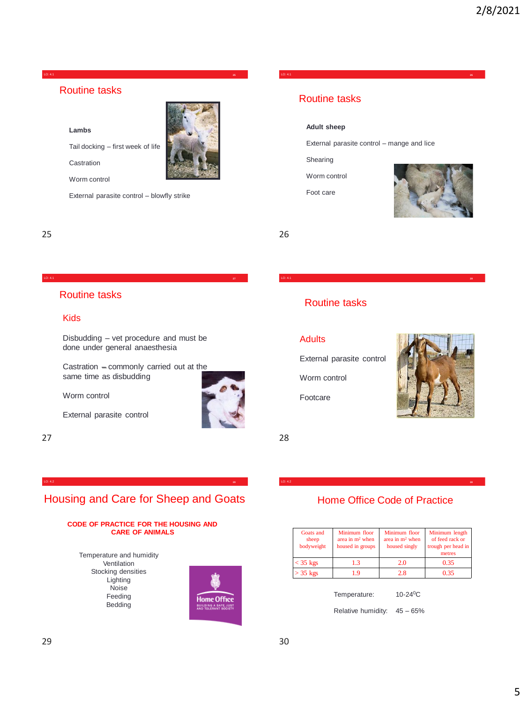

### Routine tasks

**Lambs**

Tail docking – first week of life

Castration

Worm control

External parasite control – blowfly strike

25 26

### Routine tasks

### Kids

Disbudding – vet procedure and must be done under general anaesthesia

LO: 4.1 **27**

Castration – commonly carried out at the same time as disbudding

Worm control

External parasite control

27 28

### Routine tasks

#### **Adult sheep**

External parasite control – mange and lice

LO: 4.1 **28**

LO: 4.1 **26**

Shearing

Worm control

Foot care



### Routine tasks

### **Adults**

External parasite control

Worm control

Footcare



### Housing and Care for Sheep and Goats LO: 4.2 **29**

#### **CODE OF PRACTICE FOR THE HOUSING AND CARE OF ANIMALS**

Temperature and humidity Ventilation Stocking densities Lighting Noise Feeding Bedding



### Home Office Code of Practice

LO: 4.2 **30**

| Goats and<br>sheep<br>bodyweight | Minimum floor<br>area in $m2$ when<br>housed in groups | Minimum floor<br>area in $m2$ when<br>housed singly | Minimum length<br>of feed rack or<br>trough per head in<br>metres |
|----------------------------------|--------------------------------------------------------|-----------------------------------------------------|-------------------------------------------------------------------|
| $<$ 35 kgs                       | 13                                                     | 2.0                                                 | 0.35                                                              |
| $>$ 35 kgs                       | 19                                                     | 2.8                                                 | 0.35                                                              |

Temperature: 10-24<sup>0</sup>C

Relative humidity: 45 – 65%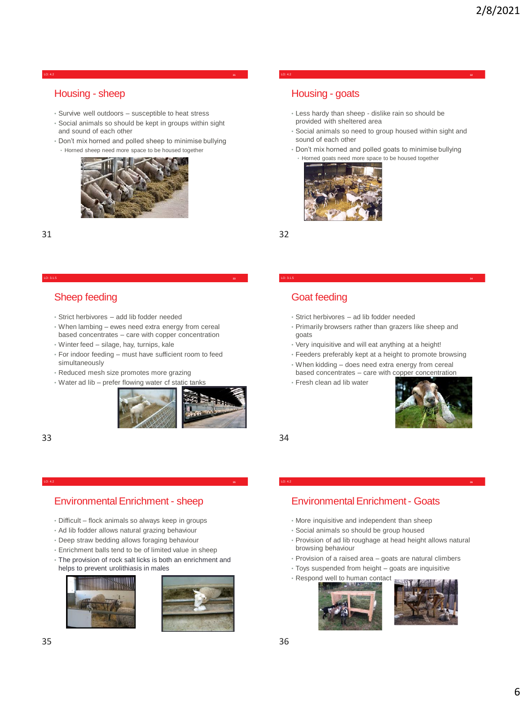LO: 4.2 **31**

### Housing - sheep

- Survive well outdoors susceptible to heat stress
- Social animals so should be kept in groups within sight and sound of each other
- Don't mix horned and polled sheep to minimise bullying
- Horned sheep need more space to be housed together



### 31 32

#### LO: 3.1.5 **33**

### Sheep feeding

- Strict herbivores add lib fodder needed
- When lambing ewes need extra energy from cereal based concentrates – care with copper concentration
- Winter feed silage, hay, turnips, kale
- For indoor feeding must have sufficient room to feed simultaneously
- Reduced mesh size promotes more grazing
- Water ad lib prefer flowing water cf static tanks



33 34

### Housing - goats

- Less hardy than sheep dislike rain so should be provided with sheltered area
- Social animals so need to group housed within sight and sound of each other

LO: 4.2 **32**

• Don't mix horned and polled goats to minimise bullying • Horned goats need more space to be housed together



### Goat feeding

- Strict herbivores ad lib fodder needed
- Primarily browsers rather than grazers like sheep and goats

LO: 3.1.5 **34**

- Very inquisitive and will eat anything at a height!
- Feeders preferably kept at a height to promote browsing
- When kidding does need extra energy from cereal based concentrates – care with copper concentration
- Fresh clean ad lib water



### Environmental Enrichment - sheep

LO: 4.2 **35**

- Difficult flock animals so always keep in groups
- Ad lib fodder allows natural grazing behaviour
- Deep straw bedding allows foraging behaviour
- Enrichment balls tend to be of limited value in sheep
- The provision of rock salt licks is both an enrichment and helps to prevent urolithiasis in males





## Environmental Enrichment - Goats

LO: 4.2 **36**

- More inquisitive and independent than sheep
- Social animals so should be group housed
- Provision of ad lib roughage at head height allows natural browsing behaviour
- Provision of a raised area goats are natural climbers
- Toys suspended from height goats are inquisitive
- Respond well to human contact

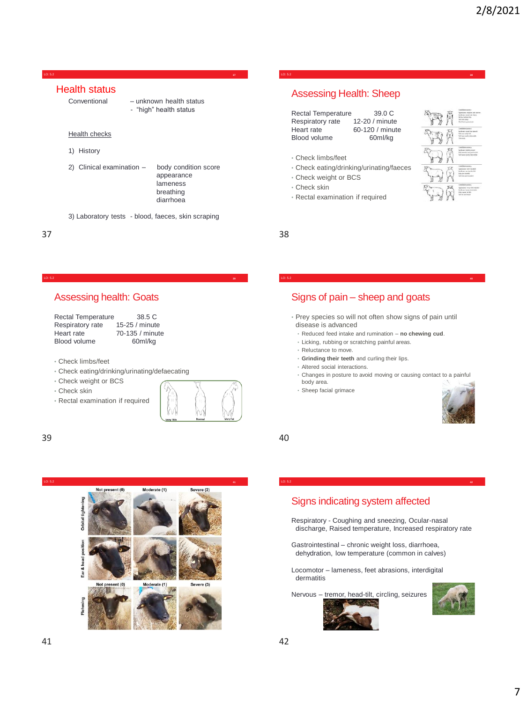### Health status

- Conventional unknown health status
	- "high" health status

LO: 5.2 **37**

- Health checks
- 1) History
- 2) Clinical examination body condition score
	- appearance lameness breathing diarrhoea
- 3) Laboratory tests blood, faeces, skin scraping

LO: 5.2 **39**

#### $37$  38

### Assessing health: Goats

| <b>Rectal Temperature</b> | 38.5 C          |
|---------------------------|-----------------|
| Respiratory rate          | 15-25 / minute  |
| Heart rate                | 70-135 / minute |
| Blood volume              | 60ml/kg         |

• Check limbs/feet

- Check eating/drinking/urinating/defaecating
- Check weight or BCS
- Check skin
- Rectal examination if required



39 40



# Assessing Health: Sheep

| <b>Rectal Temperature</b> | 39.0 C          |
|---------------------------|-----------------|
| Respiratory rate          | 12-20 / minute  |
| Heart rate                | 60-120 / minute |
| Blood volume              | 60ml/ka         |
|                           |                 |

- Check limbs/feet
- Check eating/drinking/urinating/faeces

LO: 5.2 **38**

- Check weight or BCS
- Check skin
- Rectal examination if required



Signs of pain – sheep and goats

• Prey species so will not often show signs of pain until disease is advanced

LO: 5.2 **40**

- Reduced feed intake and rumination **no chewing cud**.
- Licking, rubbing or scratching painful areas.
- Reluctance to move.
- **Grinding their teeth** and curling their lips.
- Altered social interactions.
- Changes in posture to avoid moving or causing contact to a painful body area.
- Sheep facial grimace



## Signs indicating system affected

Respiratory - Coughing and sneezing, Ocular-nasal discharge, Raised temperature, Increased respiratory rate

LO: 5.2 **42**

- Gastrointestinal chronic weight loss, diarrhoea, dehydration, low temperature (common in calves)
- Locomotor lameness, feet abrasions, interdigital dermatitis

Nervous – tremor, head-tilt, circling, seizures

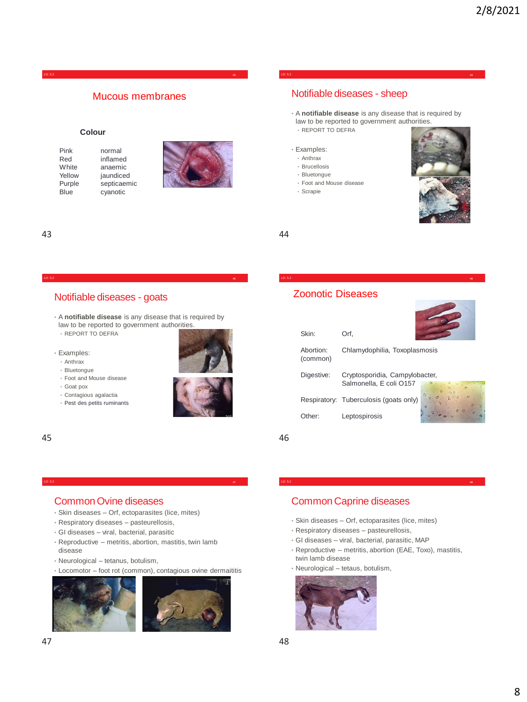### Mucous membranes

#### **Colour**

Pink normal<br>Red inflame Red inflamed<br>White anaemic anaemic Yellow jaundiced Purple septicaemic<br>Blue cyanotic cyanotic



# Notifiable diseases - sheep

• A **notifiable disease** is any disease that is required by law to be reported to government authorities. • REPORT TO DEFRA

LO: 5.2 **44**

#### • Examples:

- Anthrax
- Brucellosis
- Bluetongue
- Foot and Mouse disease
- Scrapie



43 44

### Notifiable diseases - goats

• A **notifiable disease** is any disease that is required by law to be reported to government authorities. • REPORT TO DEFRA

LO: 5.2 **45**

• Examples: • Anthrax



- Bluetongue
- Foot and Mouse disease • Goat pox
- 
- Contagious agalactia
- Pest des petits ruminants



#### 45 46

# Common Ovine diseases

- Skin diseases Orf, ectoparasites (lice, mites)
- Respiratory diseases pasteurellosis,
- GI diseases viral, bacterial, parasitic
- Reproductive metritis, abortion, mastitis, twin lamb disease

LO: 5.2 **47**

- Neurological tetanus, botulism,
- Locomotor foot rot (common), contagious ovine dermaititis





### Zoonotic Diseases

| Skin:                 | Orf,                          |  |
|-----------------------|-------------------------------|--|
| Abortion:<br>(common) | Chlamydophilia, Toxoplasmosis |  |

| Digestive: | Cryptosporidia, Campylobacter,         |                |
|------------|----------------------------------------|----------------|
|            | Salmonella, E coli O157                |                |
|            | Respiratory: Tuberculosis (goats only) | $\overline{a}$ |
| Other:     | Leptospirosis                          | $-50$          |

LO: 5.2 **46**

### Common Caprine diseases

- Skin diseases Orf, ectoparasites (lice, mites)
- Respiratory diseases pasteurellosis,
- GI diseases viral, bacterial, parasitic, MAP
- Reproductive metritis, abortion (EAE, Toxo), mastitis, twin lamb disease

LO: 5.2 **48**

• Neurological – tetaus, botulism,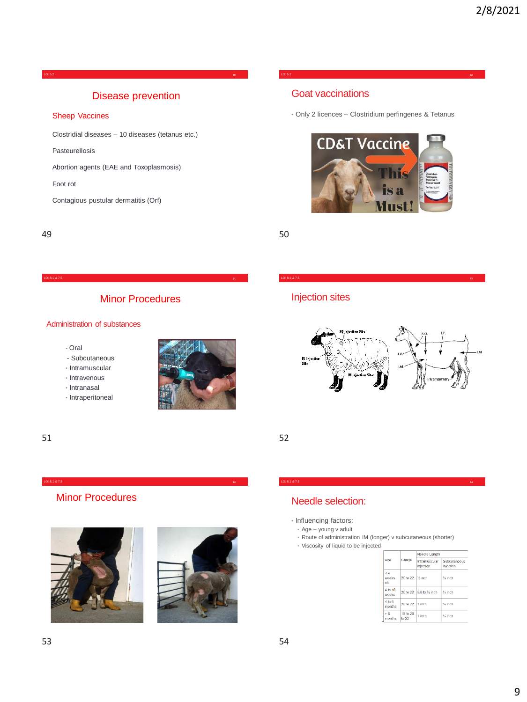LO: 5.2 **49**

### Disease prevention

#### Sheep Vaccines

Clostridial diseases – 10 diseases (tetanus etc.)

Pasteurellosis

Abortion agents (EAE and Toxoplasmosis)

Foot rot

Contagious pustular dermatitis (Orf)

49 50

### Minor Procedures

LO: 8.1 & 7.5 **53**

### Administration of substances

- Oral
- Subcutaneous
- Intramuscular
- Intravenous
- Intranasal
- Intraperitoneal



51 52

# Minor Procedures





### Goat vaccinations

• Only 2 licences – Clostridium perfingenes & Tetanus

LO: 5.2 **50**



Injection sites



# Needle selection:

- Influencing factors:
	- Age young v adult
- Route of administration IM (longer) v subcutaneous (shorter)

LO: 8.1 & 7.5 **54**

• Viscosity of liquid to be injected

| Aqe                |                               | Needle Length              |                           |  |
|--------------------|-------------------------------|----------------------------|---------------------------|--|
|                    | Gauge                         | Intramuscular<br>injection | Subcutaneous<br>injection |  |
| eΔ<br>weeks<br>old | 20 to 22 1/ <sub>2</sub> inch |                            | 1/ <sub>2</sub> inch      |  |
| 4 to 16<br>weeks   |                               | 20 to 22 5/8 to % inch     | 1/ <sub>s</sub> inch      |  |
| 4 to 6<br>months   | 20 to 22 1 inch               |                            | % inch                    |  |
| > 6<br>months      | 18 to 20<br>to $22$           | 1 inch                     | % inch                    |  |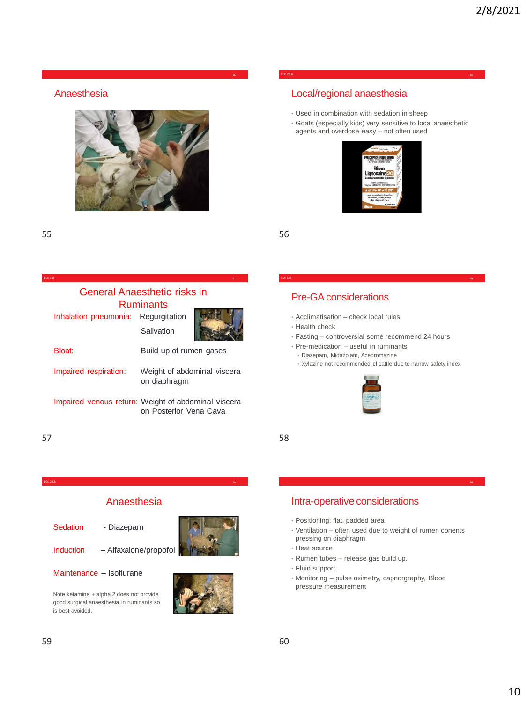Anaesthesia



55 56

LO: 5.2 **57**

# General Anaesthetic risks in Ruminants

Inhalation pneumonia: Regurgitation **Salivation** 



on Posterior Vena Cava

Bloat: Build up of rumen gases Impaired respiration: Weight of abdominal viscera on diaphragm Impaired venous return: Weight of abdominal viscera

 $57$  58

LO: 20.6 **59**

### Anaesthesia

- Sedation Diazepam
	-

Induction – Alfaxalone/propofol

Maintenance – Isoflurane

Note ketamine + alpha 2 does not provide good surgical anaesthesia in ruminants so is best avoided.



### LO: 20.6 **56**

## Local/regional anaesthesia

- Used in combination with sedation in sheep
- Goats (especially kids) very sensitive to local anaesthetic agents and overdose easy – not often used



Pre-GA considerations

- Acclimatisation check local rules
- Health check
- Fasting controversial some recommend 24 hours

LO: 5.2 **58**

- Pre-medication useful in ruminants
	- Diazepam, Midazolam, Acepromazine
	- Xylazine not recommended cf cattle due to narrow safety index



## Intra-operative considerations

- Positioning: flat, padded area
- Ventilation often used due to weight of rumen conents pressing on diaphragm
- Heat source
- Rumen tubes release gas build up.
- Fluid support
- Monitoring pulse oximetry, capnorgraphy, Blood pressure measurement

**60**